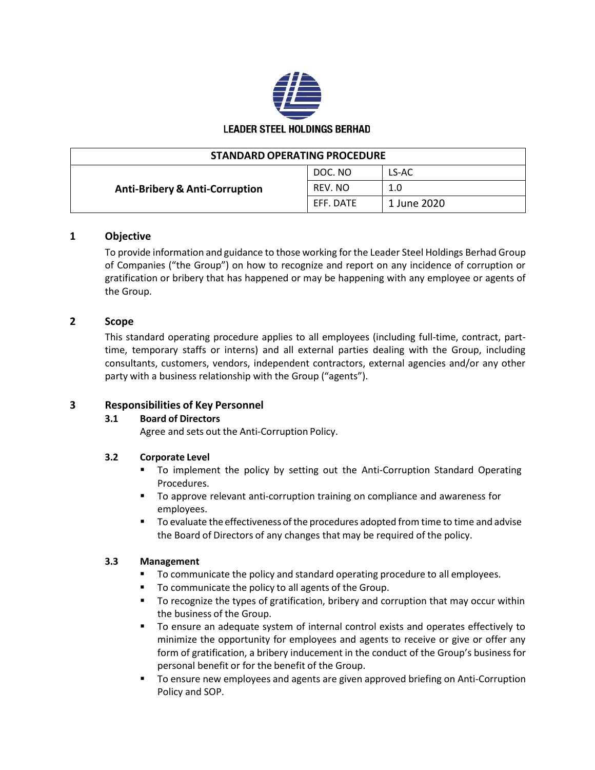

| <b>STANDARD OPERATING PROCEDURE</b>       |           |             |
|-------------------------------------------|-----------|-------------|
| <b>Anti-Bribery &amp; Anti-Corruption</b> | DOC. NO   | LS-AC       |
|                                           | REV. NO   | 1.0         |
|                                           | EFF. DATE | 1 June 2020 |

# **1 Objective**

To provide information and guidance to those working for the Leader Steel Holdings Berhad Group of Companies ("the Group") on how to recognize and report on any incidence of corruption or gratification or bribery that has happened or may be happening with any employee or agents of the Group.

# **2 Scope**

This standard operating procedure applies to all employees (including full-time, contract, parttime, temporary staffs or interns) and all external parties dealing with the Group, including consultants, customers, vendors, independent contractors, external agencies and/or any other party with a business relationship with the Group ("agents").

#### **3 Responsibilities of Key Personnel**

#### **3.1 Board of Directors**

Agree and sets out the Anti-Corruption Policy.

#### **3.2 Corporate Level**

- To implement the policy by setting out the Anti-Corruption Standard Operating Procedures.
- To approve relevant anti-corruption training on compliance and awareness for employees.
- To evaluate the effectiveness of the procedures adopted from time to time and advise the Board of Directors of any changes that may be required of the policy.

#### **3.3 Management**

- To communicate the policy and standard operating procedure to all employees.
- To communicate the policy to all agents of the Group.
- To recognize the types of gratification, bribery and corruption that may occur within the business of the Group.
- To ensure an adequate system of internal control exists and operates effectively to minimize the opportunity for employees and agents to receive or give or offer any form of gratification, a bribery inducement in the conduct of the Group's business for personal benefit or for the benefit of the Group.
- To ensure new employees and agents are given approved briefing on Anti-Corruption Policy and SOP.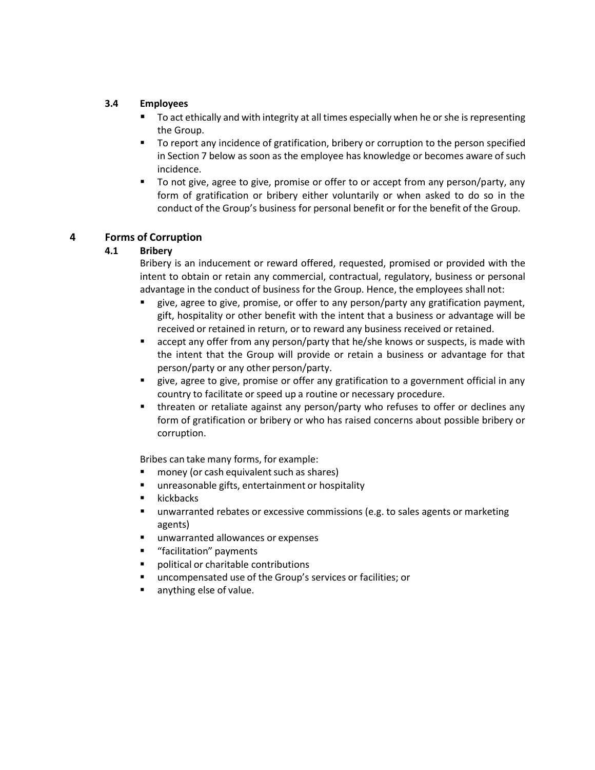# **3.4 Employees**

- To act ethically and with integrity at all times especially when he or she is representing the Group.
- To report any incidence of gratification, bribery or corruption to the person specified in Section 7 below as soon as the employee has knowledge or becomes aware of such incidence.
- To not give, agree to give, promise or offer to or accept from any person/party, any form of gratification or bribery either voluntarily or when asked to do so in the conduct of the Group's business for personal benefit or for the benefit of the Group.

# **4 Forms of Corruption**

# **4.1 Bribery**

Bribery is an inducement or reward offered, requested, promised or provided with the intent to obtain or retain any commercial, contractual, regulatory, business or personal advantage in the conduct of business for the Group. Hence, the employees shall not:

- give, agree to give, promise, or offer to any person/party any gratification payment, gift, hospitality or other benefit with the intent that a business or advantage will be received or retained in return, or to reward any business received or retained.
- accept any offer from any person/party that he/she knows or suspects, is made with the intent that the Group will provide or retain a business or advantage for that person/party or any other person/party.
- give, agree to give, promise or offer any gratification to a government official in any country to facilitate or speed up a routine or necessary procedure.
- threaten or retaliate against any person/party who refuses to offer or declines any form of gratification or bribery or who has raised concerns about possible bribery or corruption.

Bribes can take many forms, for example:

- money (or cash equivalent such as shares)
- unreasonable gifts, entertainment or hospitality
- **kickbacks**
- **■** unwarranted rebates or excessive commissions (e.g. to sales agents or marketing agents)
- unwarranted allowances or expenses
- "facilitation" payments
- political or charitable contributions
- uncompensated use of the Group's services or facilities; or
- anything else of value.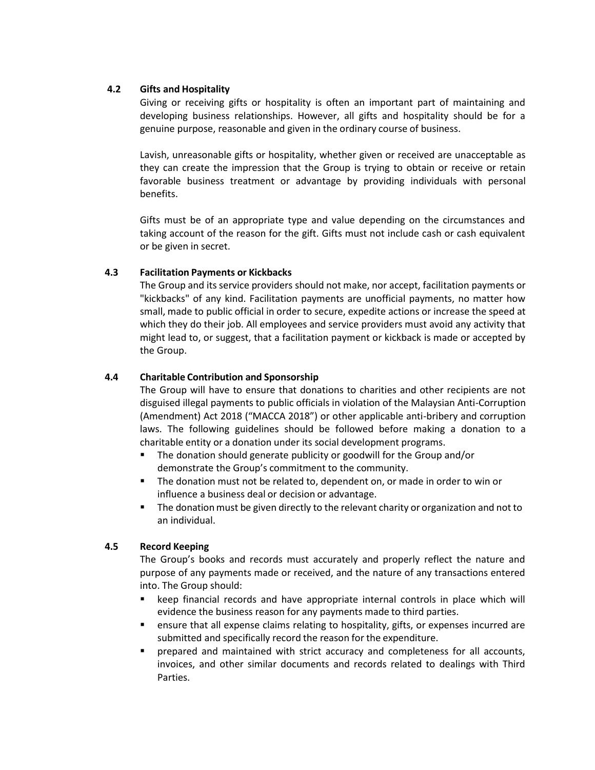#### **4.2 Gifts and Hospitality**

Giving or receiving gifts or hospitality is often an important part of maintaining and developing business relationships. However, all gifts and hospitality should be for a genuine purpose, reasonable and given in the ordinary course of business.

Lavish, unreasonable gifts or hospitality, whether given or received are unacceptable as they can create the impression that the Group is trying to obtain or receive or retain favorable business treatment or advantage by providing individuals with personal benefits.

Gifts must be of an appropriate type and value depending on the circumstances and taking account of the reason for the gift. Gifts must not include cash or cash equivalent or be given in secret.

#### **4.3 Facilitation Payments or Kickbacks**

The Group and its service providers should not make, nor accept, facilitation payments or "kickbacks" of any kind. Facilitation payments are unofficial payments, no matter how small, made to public official in order to secure, expedite actions or increase the speed at which they do their job. All employees and service providers must avoid any activity that might lead to, or suggest, that a facilitation payment or kickback is made or accepted by the Group.

#### **4.4 Charitable Contribution and Sponsorship**

The Group will have to ensure that donations to charities and other recipients are not disguised illegal payments to public officials in violation of the Malaysian Anti-Corruption (Amendment) Act 2018 ("MACCA 2018") or other applicable anti-bribery and corruption laws. The following guidelines should be followed before making a donation to a charitable entity or a donation under its social development programs.

- The donation should generate publicity or goodwill for the Group and/or demonstrate the Group's commitment to the community.
- The donation must not be related to, dependent on, or made in order to win or influence a business deal or decision or advantage.
- The donation must be given directly to the relevant charity or organization and not to an individual.

#### **4.5 Record Keeping**

The Group's books and records must accurately and properly reflect the nature and purpose of any payments made or received, and the nature of any transactions entered into. The Group should:

- keep financial records and have appropriate internal controls in place which will evidence the business reason for any payments made to third parties.
- ensure that all expense claims relating to hospitality, gifts, or expenses incurred are submitted and specifically record the reason for the expenditure.
- prepared and maintained with strict accuracy and completeness for all accounts, invoices, and other similar documents and records related to dealings with Third Parties.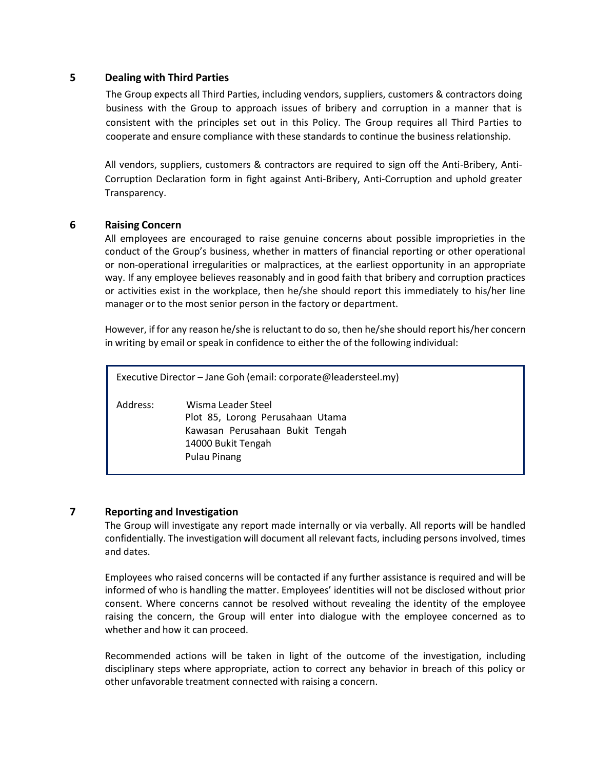# **5 Dealing with Third Parties**

The Group expects all Third Parties, including vendors, suppliers, customers & contractors doing business with the Group to approach issues of bribery and corruption in a manner that is consistent with the principles set out in this Policy. The Group requires all Third Parties to cooperate and ensure compliance with these standards to continue the business relationship.

All vendors, suppliers, customers & contractors are required to sign off the Anti-Bribery, Anti-Corruption Declaration form in fight against Anti-Bribery, Anti-Corruption and uphold greater Transparency.

# **6 Raising Concern**

All employees are encouraged to raise genuine concerns about possible improprieties in the conduct of the Group's business, whether in matters of financial reporting or other operational or non-operational irregularities or malpractices, at the earliest opportunity in an appropriate way. If any employee believes reasonably and in good faith that bribery and corruption practices or activities exist in the workplace, then he/she should report this immediately to his/her line manager or to the most senior person in the factory or department.

However, if for any reason he/she is reluctant to do so, then he/she should report his/her concern in writing by email or speak in confidence to either the of the following individual:

Executive Director – Jane Goh (email: corporate@leadersteel.my) Address: Wisma Leader Steel Plot 85, Lorong Perusahaan Utama Kawasan Perusahaan Bukit Tengah 14000 Bukit Tengah Pulau Pinang

#### **7 Reporting and Investigation**

The Group will investigate any report made internally or via verbally. All reports will be handled confidentially. The investigation will document all relevant facts, including persons involved, times and dates.

Employees who raised concerns will be contacted if any further assistance is required and will be informed of who is handling the matter. Employees' identities will not be disclosed without prior consent. Where concerns cannot be resolved without revealing the identity of the employee raising the concern, the Group will enter into dialogue with the employee concerned as to whether and how it can proceed.

Recommended actions will be taken in light of the outcome of the investigation, including disciplinary steps where appropriate, action to correct any behavior in breach of this policy or other unfavorable treatment connected with raising a concern.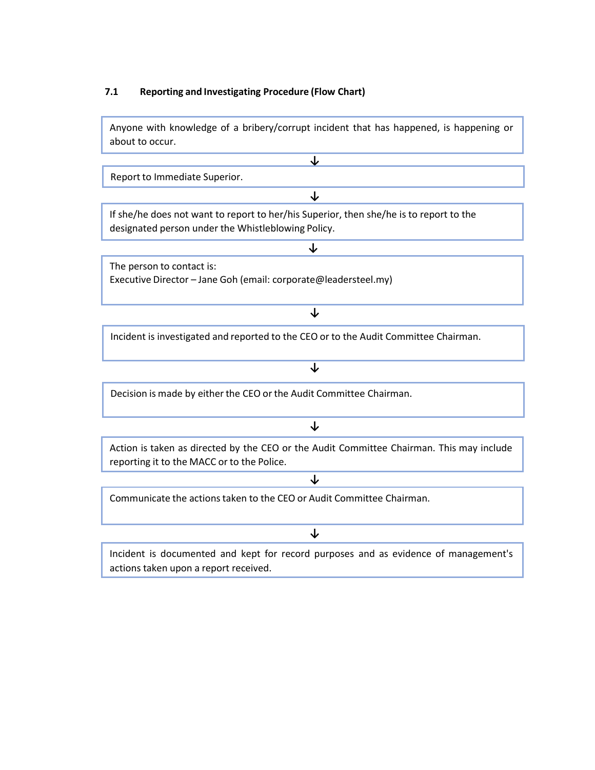# **7.1 Reporting and Investigating Procedure (Flow Chart)**

Anyone with knowledge of a bribery/corrupt incident that has happened, is happening or about to occur.

**↓**

**↓**

**↓**

Report to Immediate Superior.

If she/he does not want to report to her/his Superior, then she/he is to report to the designated person under the Whistleblowing Policy.

The person to contact is: Executive Director – Jane Goh (email: corporate@leadersteel.my)

**↓** Incident is investigated and reported to the CEO or to the Audit Committee Chairman.

**↓**

**↓**

Decision is made by either the CEO or the Audit Committee Chairman.

# **↓**

Action is taken as directed by the CEO or the Audit Committee Chairman. This may include reporting it to the MACC or to the Police.

**↓**

Communicate the actions taken to the CEO or Audit Committee Chairman.

Incident is documented and kept for record purposes and as evidence of management's actions taken upon a report received.

**↓**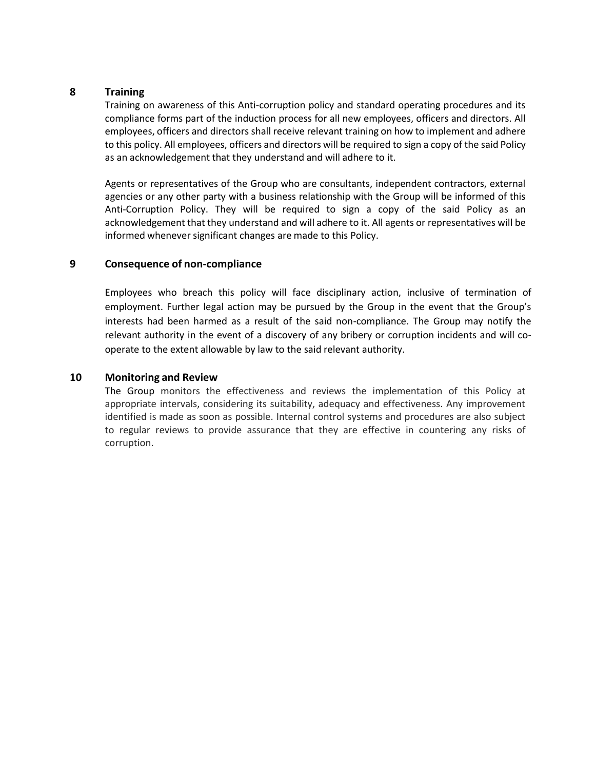#### **8 Training**

Training on awareness of this Anti-corruption policy and standard operating procedures and its compliance forms part of the induction process for all new employees, officers and directors. All employees, officers and directors shall receive relevant training on how to implement and adhere to this policy. All employees, officers and directors will be required to sign a copy of the said Policy as an acknowledgement that they understand and will adhere to it.

Agents or representatives of the Group who are consultants, independent contractors, external agencies or any other party with a business relationship with the Group will be informed of this Anti-Corruption Policy. They will be required to sign a copy of the said Policy as an acknowledgement that they understand and will adhere to it. All agents or representatives will be informed whenever significant changes are made to this Policy.

# **9 Consequence of non-compliance**

Employees who breach this policy will face disciplinary action, inclusive of termination of employment. Further legal action may be pursued by the Group in the event that the Group's interests had been harmed as a result of the said non-compliance. The Group may notify the relevant authority in the event of a discovery of any bribery or corruption incidents and will cooperate to the extent allowable by law to the said relevant authority.

# **10 Monitoring and Review**

The Group monitors the effectiveness and reviews the implementation of this Policy at appropriate intervals, considering its suitability, adequacy and effectiveness. Any improvement identified is made as soon as possible. Internal control systems and procedures are also subject to regular reviews to provide assurance that they are effective in countering any risks of corruption.